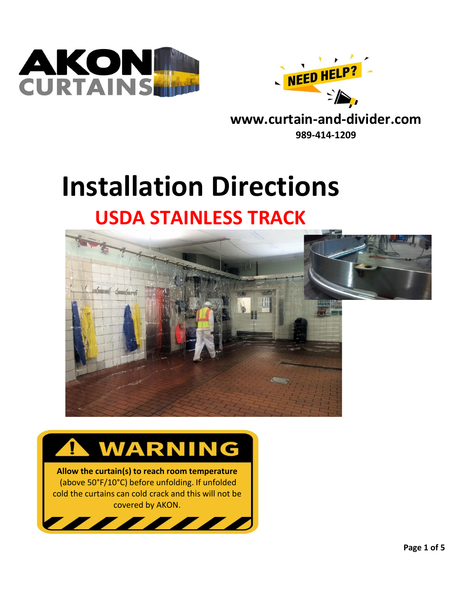



**www.curtain-and-divider.com 989-414-1209**

# **Installation Directions USDA STAINLESS TRACK**





**Allow the curtain(s) to reach room temperature** (above 50°F/10°C) before unfolding. If unfolded cold the curtains can cold crack and this will not be covered by AKON.

 $\overline{\phantom{a}}$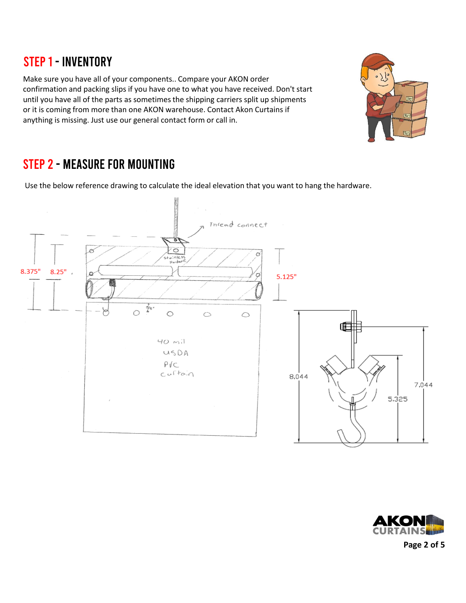#### STEP 1 - INVENTORY

Make sure you have all of your components.. Compare your AKON order confirmation and packing slips if you have one to what you have received. Don't start until you have all of the parts as sometimes the shipping carriers split up shipments or it is coming from more than one AKON warehouse. Contact Akon Curtains if anything is missing. Just use our general contact form or call in.



## Step 2 - measure for mounting

Use the below reference drawing to calculate the ideal elevation that you want to hang the hardware.





**Page 2 of 5**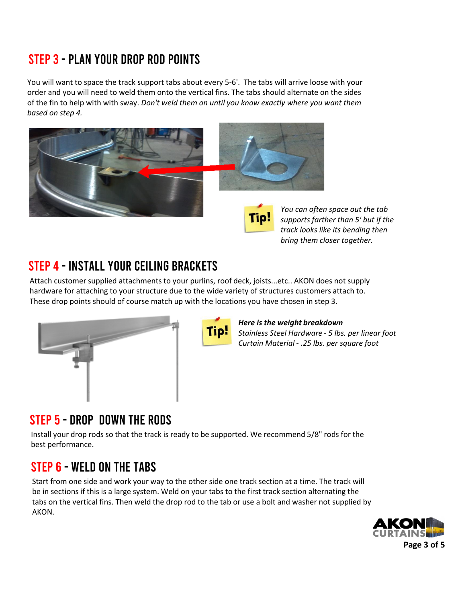# Step 3 - plan your drop rod points

You will want to space the track support tabs about every 5-6'. The tabs will arrive loose with your order and you will need to weld them onto the vertical fins. The tabs should alternate on the sides of the fin to help with with sway. *Don't weld them on until you know exactly where you want them based on step 4.*



*You can often space out the tab supports farther than 5' but if the track looks like its bending then bring them closer together.*

# STEP 4 - INSTALL YOUR CEILING BRACKETS

Attach customer supplied attachments to your purlins, roof deck, joists...etc.. AKON does not supply hardware for attaching to your structure due to the wide variety of structures customers attach to. These drop points should of course match up with the locations you have chosen in step 3.





#### *Here is the weight breakdown*

*Stainless Steel Hardware - 5 lbs. per linear foot Curtain Material - .25 lbs. per square foot*

#### Step 5 - Drop down the rods

Install your drop rods so that the track is ready to be supported. We recommend 5/8" rods for the best performance.

# STEP 6 - WELD ON THE TABS

Start from one side and work your way to the other side one track section at a time. The track will be in sections if this is a large system. Weld on your tabs to the first track section alternating the tabs on the vertical fins. Then weld the drop rod to the tab or use a bolt and washer not supplied by AKON.

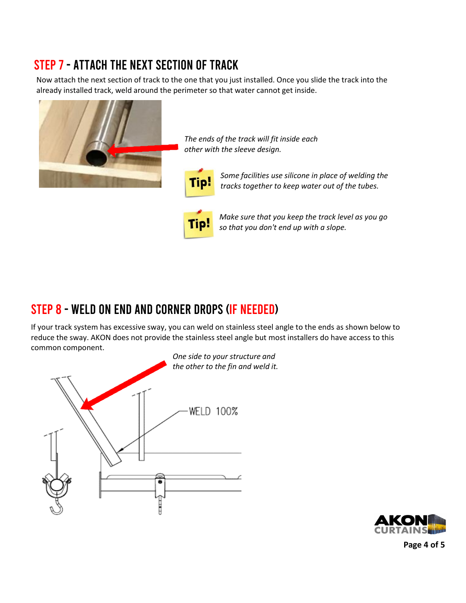# Step 7 - attach the next section of track

Now attach the next section of track to the one that you just installed. Once you slide the track into the already installed track, weld around the perimeter so that water cannot get inside.



*The ends of the track will fit inside each other with the sleeve design.*



*Some facilities use silicone in place of welding the tracks together to keep water out of the tubes.*



*Make sure that you keep the track level as you go so that you don't end up with a slope.* 

#### Step 8 - Weld on end and corner drops (If Needed)

If your track system has excessive sway, you can weld on stainless steel angle to the ends as shown below to reduce the sway. AKON does not provide the stainless steel angle but most installers do have access to this common component.





**Page 4 of 5**